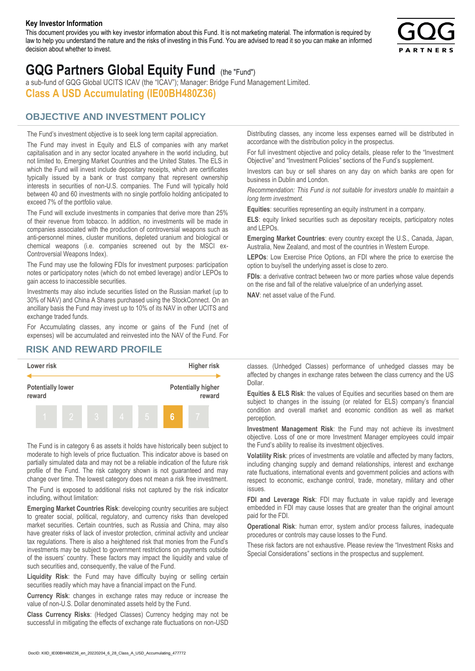#### **Key Investor Information**

This document provides you with key investor information about this Fund. It is not marketing material. The information is required by law to help you understand the nature and the risks of investing in this Fund. You are advised to read it so you can make an informed decision about whether to invest.



# **GQG Partners Global Equity Fund** (the "Fund")

a sub-fund of GQG Global UCITS ICAV (the "ICAV"); Manager: Bridge Fund Management Limited. **Class A USD Accumulating (IE00BH480Z36)**

### **OBJECTIVE AND INVESTMENT POLICY**

The Fund's investment objective is to seek long term capital appreciation. The Fund may invest in Equity and ELS of companies with any market capitalisation and in any sector located anywhere in the world including, but not limited to, Emerging Market Countries and the United States. The ELS in which the Fund will invest include depositary receipts, which are certificates typically issued by a bank or trust company that represent ownership interests in securities of non-U.S. companies. The Fund will typically hold between 40 and 60 investments with no single portfolio holding anticipated to exceed 7% of the portfolio value.

The Fund will exclude investments in companies that derive more than 25% of their revenue from tobacco. In addition, no investments will be made in companies associated with the production of controversial weapons such as anti-personnel mines, cluster munitions, depleted uranium and biological or chemical weapons (i.e. companies screened out by the MSCI ex-Controversial Weapons Index).

The Fund may use the following FDIs for investment purposes: participation notes or participatory notes (which do not embed leverage) and/or LEPOs to gain access to inaccessible securities.

Investments may also include securities listed on the Russian market (up to 30% of NAV) and China A Shares purchased using the StockConnect. On an ancillary basis the Fund may invest up to 10% of its NAV in other UCITS and exchange traded funds.

For Accumulating classes, any income or gains of the Fund (net of expenses) will be accumulated and reinvested into the NAV of the Fund. For Distributing classes, any income less expenses earned will be distributed in accordance with the distribution policy in the prospectus.

For full investment objective and policy details, please refer to the "Investment Objective" and "Investment Policies" sections of the Fund's supplement.

Investors can buy or sell shares on any day on which banks are open for business in Dublin and London.

*Recommendation: This Fund is not suitable for investors unable to maintain a long term investment.*

**Equities**: securities representing an equity instrument in a company.

**ELS**: equity linked securities such as depositary receipts, participatory notes and LEPOs.

**Emerging Market Countries**: every country except the U.S., Canada, Japan, Australia, New Zealand, and most of the countries in Western Europe.

**LEPOs**: Low Exercise Price Options, an FDI where the price to exercise the option to buy/sell the underlying asset is close to zero.

**FDIs**: a derivative contract between two or more parties whose value depends on the rise and fall of the relative value/price of an underlying asset.

**NAV**: net asset value of the Fund.

#### **RISK AND REWARD PROFILE**



The Fund is in category 6 as assets it holds have historically been subject to moderate to high levels of price fluctuation. This indicator above is based on partially simulated data and may not be a reliable indication of the future risk profile of the Fund. The risk category shown is not guaranteed and may change over time. The lowest category does not mean a risk free investment.

The Fund is exposed to additional risks not captured by the risk indicator including, without limitation:

**Emerging Market Countries Risk**: developing country securities are subject to greater social, political, regulatory, and currency risks than developed market securities. Certain countries, such as Russia and China, may also have greater risks of lack of investor protection, criminal activity and unclear tax regulations. There is also a heightened risk that monies from the Fund's investments may be subject to government restrictions on payments outside of the issuers' country. These factors may impact the liquidity and value of such securities and, consequently, the value of the Fund.

**Liquidity Risk**: the Fund may have difficulty buying or selling certain securities readily which may have a financial impact on the Fund.

**Currency Risk**: changes in exchange rates may reduce or increase the value of non-U.S. Dollar denominated assets held by the Fund.

**Class Currency Risks**: (Hedged Classes) Currency hedging may not be successful in mitigating the effects of exchange rate fluctuations on non-USD classes. (Unhedged Classes) performance of unhedged classes may be affected by changes in exchange rates between the class currency and the US Dollar.

**Equities & ELS Risk**: the values of Equities and securities based on them are subject to changes in the issuing (or related for ELS) company's financial condition and overall market and economic condition as well as market perception.

**Investment Management Risk**: the Fund may not achieve its investment objective. Loss of one or more Investment Manager employees could impair the Fund's ability to realise its investment objectives.

**Volatility Risk**: prices of investments are volatile and affected by many factors, including changing supply and demand relationships, interest and exchange rate fluctuations, international events and government policies and actions with respect to economic, exchange control, trade, monetary, military and other issues.

**FDI and Leverage Risk**: FDI may fluctuate in value rapidly and leverage embedded in FDI may cause losses that are greater than the original amount paid for the FDI.

**Operational Risk**: human error, system and/or process failures, inadequate procedures or controls may cause losses to the Fund.

These risk factors are not exhaustive. Please review the "Investment Risks and Special Considerations" sections in the prospectus and supplement.